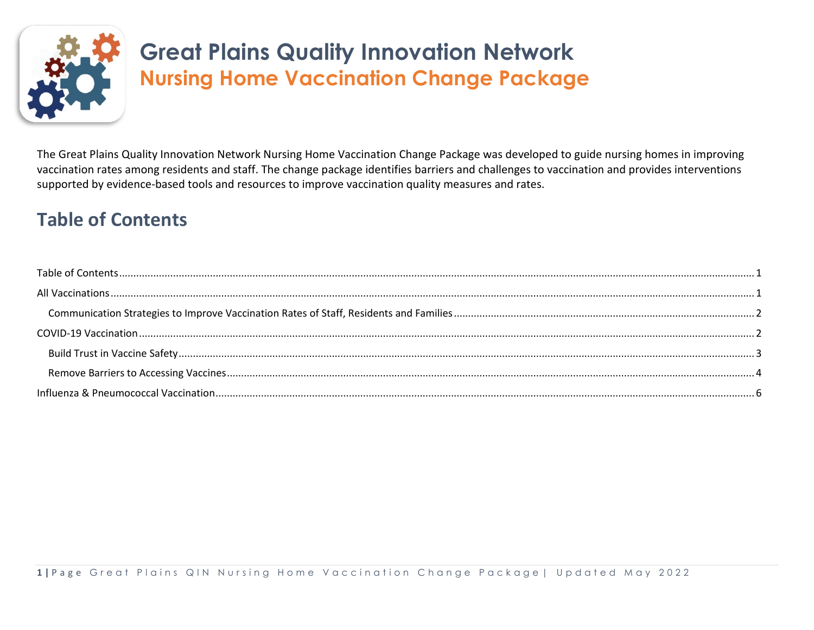

# **Great Plains Quality Innovation Network Nursing Home Vaccination Change Package**

The Great Plains Quality Innovation Network Nursing Home Vaccination Change Package was developed to guide nursing homes in improving vaccination rates among residents and staff. The change package identifies barriers and challenges to vaccination and provides interventions supported by evidence-based tools and resources to improve vaccination quality measures and rates.

## <span id="page-0-0"></span>**Table of Contents**

<span id="page-0-1"></span>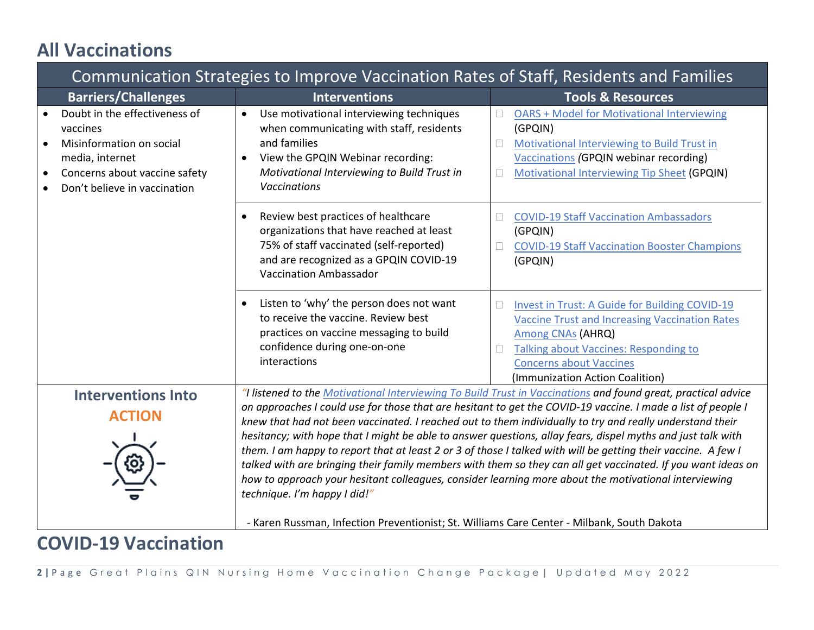### **All Vaccinations**

<span id="page-1-0"></span>

| Communication Strategies to Improve Vaccination Rates of Staff, Residents and Families                                                                    |                                                                                                                                                                                                                              |                                                                                                                                                                                                                                                                                                                                                                                                                                                                                                                                                                                                                                                                                           |
|-----------------------------------------------------------------------------------------------------------------------------------------------------------|------------------------------------------------------------------------------------------------------------------------------------------------------------------------------------------------------------------------------|-------------------------------------------------------------------------------------------------------------------------------------------------------------------------------------------------------------------------------------------------------------------------------------------------------------------------------------------------------------------------------------------------------------------------------------------------------------------------------------------------------------------------------------------------------------------------------------------------------------------------------------------------------------------------------------------|
| <b>Barriers/Challenges</b>                                                                                                                                | <b>Interventions</b>                                                                                                                                                                                                         | <b>Tools &amp; Resources</b>                                                                                                                                                                                                                                                                                                                                                                                                                                                                                                                                                                                                                                                              |
| Doubt in the effectiveness of<br>vaccines<br>Misinformation on social<br>media, internet<br>Concerns about vaccine safety<br>Don't believe in vaccination | Use motivational interviewing techniques<br>$\bullet$<br>when communicating with staff, residents<br>and families<br>View the GPQIN Webinar recording:<br>Motivational Interviewing to Build Trust in<br><b>Vaccinations</b> | <b>OARS + Model for Motivational Interviewing</b><br>(GPQIN)<br>Motivational Interviewing to Build Trust in<br>$\Box$<br>Vaccinations (GPQIN webinar recording)<br>Motivational Interviewing Tip Sheet (GPQIN)<br>□                                                                                                                                                                                                                                                                                                                                                                                                                                                                       |
|                                                                                                                                                           | Review best practices of healthcare<br>organizations that have reached at least<br>75% of staff vaccinated (self-reported)<br>and are recognized as a GPQIN COVID-19<br><b>Vaccination Ambassador</b>                        | <b>COVID-19 Staff Vaccination Ambassadors</b><br>□<br>(GPQIN)<br><b>COVID-19 Staff Vaccination Booster Champions</b><br>(GPQIN)                                                                                                                                                                                                                                                                                                                                                                                                                                                                                                                                                           |
|                                                                                                                                                           | Listen to 'why' the person does not want<br>to receive the vaccine. Review best<br>practices on vaccine messaging to build<br>confidence during one-on-one<br>interactions                                                   | <b>Invest in Trust: A Guide for Building COVID-19</b><br>$\Box$<br><b>Vaccine Trust and Increasing Vaccination Rates</b><br><b>Among CNAs (AHRQ)</b><br><b>Talking about Vaccines: Responding to</b><br><b>Concerns about Vaccines</b><br>(Immunization Action Coalition)                                                                                                                                                                                                                                                                                                                                                                                                                 |
| <b>Interventions Into</b><br><b>ACTION</b>                                                                                                                | how to approach your hesitant colleagues, consider learning more about the motivational interviewing<br>technique. I'm happy I did!"                                                                                         | "I listened to the Motivational Interviewing To Build Trust in Vaccinations and found great, practical advice<br>on approaches I could use for those that are hesitant to get the COVID-19 vaccine. I made a list of people I<br>knew that had not been vaccinated. I reached out to them individually to try and really understand their<br>hesitancy; with hope that I might be able to answer questions, allay fears, dispel myths and just talk with<br>them. I am happy to report that at least 2 or 3 of those I talked with will be getting their vaccine. A few I<br>talked with are bringing their family members with them so they can all get vaccinated. If you want ideas on |
|                                                                                                                                                           | - Karen Russman, Infection Preventionist; St. Williams Care Center - Milbank, South Dakota                                                                                                                                   |                                                                                                                                                                                                                                                                                                                                                                                                                                                                                                                                                                                                                                                                                           |

#### <span id="page-1-1"></span>**COVID-19 Vaccination**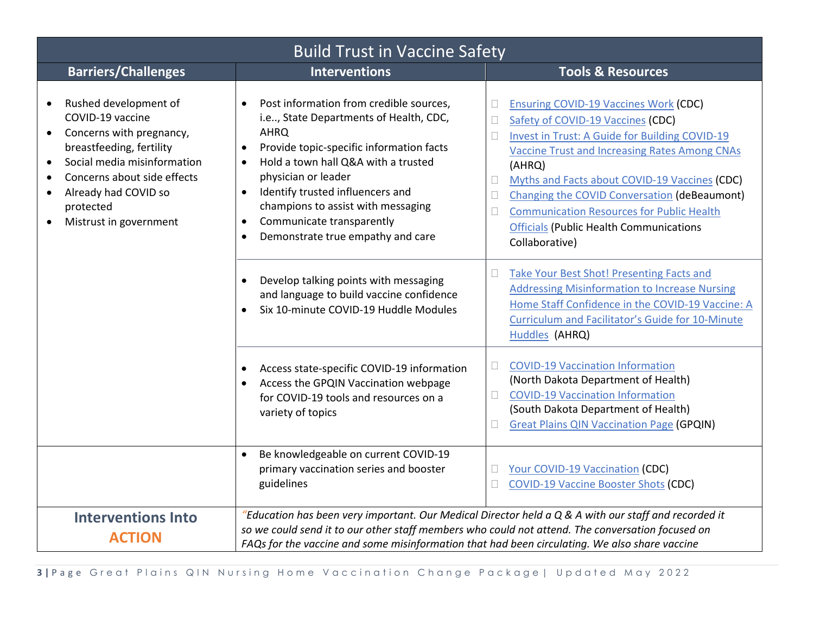<span id="page-2-0"></span>

| <b>Build Trust in Vaccine Safety</b>                                                                                                                                                                                                                     |                                                                                                                                                                                                                                                                                                                                                                                                                         |                                                                                                                                                                                                                                                                                                                                                                                                                                     |
|----------------------------------------------------------------------------------------------------------------------------------------------------------------------------------------------------------------------------------------------------------|-------------------------------------------------------------------------------------------------------------------------------------------------------------------------------------------------------------------------------------------------------------------------------------------------------------------------------------------------------------------------------------------------------------------------|-------------------------------------------------------------------------------------------------------------------------------------------------------------------------------------------------------------------------------------------------------------------------------------------------------------------------------------------------------------------------------------------------------------------------------------|
| <b>Barriers/Challenges</b>                                                                                                                                                                                                                               | <b>Interventions</b>                                                                                                                                                                                                                                                                                                                                                                                                    | <b>Tools &amp; Resources</b>                                                                                                                                                                                                                                                                                                                                                                                                        |
| Rushed development of<br>COVID-19 vaccine<br>Concerns with pregnancy,<br>$\bullet$<br>breastfeeding, fertility<br>Social media misinformation<br>$\bullet$<br>Concerns about side effects<br>Already had COVID so<br>protected<br>Mistrust in government | Post information from credible sources,<br>$\bullet$<br>i.e, State Departments of Health, CDC,<br><b>AHRQ</b><br>Provide topic-specific information facts<br>Hold a town hall Q&A with a trusted<br>$\bullet$<br>physician or leader<br>Identify trusted influencers and<br>$\bullet$<br>champions to assist with messaging<br>Communicate transparently<br>$\bullet$<br>Demonstrate true empathy and care<br>$\bullet$ | <b>Ensuring COVID-19 Vaccines Work (CDC)</b><br>П<br>Safety of COVID-19 Vaccines (CDC)<br>Invest in Trust: A Guide for Building COVID-19<br><b>Vaccine Trust and Increasing Rates Among CNAs</b><br>(AHRQ)<br>Myths and Facts about COVID-19 Vaccines (CDC)<br>Changing the COVID Conversation (deBeaumont)<br><b>Communication Resources for Public Health</b><br><b>Officials</b> (Public Health Communications<br>Collaborative) |
|                                                                                                                                                                                                                                                          | Develop talking points with messaging<br>and language to build vaccine confidence<br>Six 10-minute COVID-19 Huddle Modules<br>$\bullet$                                                                                                                                                                                                                                                                                 | Take Your Best Shot! Presenting Facts and<br><b>Addressing Misinformation to Increase Nursing</b><br>Home Staff Confidence in the COVID-19 Vaccine: A<br>Curriculum and Facilitator's Guide for 10-Minute<br>Huddles (AHRQ)                                                                                                                                                                                                         |
| $\bullet$                                                                                                                                                                                                                                                | Access state-specific COVID-19 information<br>Access the GPQIN Vaccination webpage<br>for COVID-19 tools and resources on a<br>variety of topics                                                                                                                                                                                                                                                                        | <b>COVID-19 Vaccination Information</b><br>(North Dakota Department of Health)<br><b>COVID-19 Vaccination Information</b><br>$\Box$<br>(South Dakota Department of Health)<br><b>Great Plains QIN Vaccination Page (GPQIN)</b>                                                                                                                                                                                                      |
|                                                                                                                                                                                                                                                          | Be knowledgeable on current COVID-19<br>$\bullet$<br>primary vaccination series and booster<br>guidelines                                                                                                                                                                                                                                                                                                               | <b>Your COVID-19 Vaccination (CDC)</b><br><b>COVID-19 Vaccine Booster Shots (CDC)</b><br>П                                                                                                                                                                                                                                                                                                                                          |
| <b>Interventions Into</b><br><b>ACTION</b>                                                                                                                                                                                                               | "Education has been very important. Our Medical Director held $a \, Q \, \& A$ with our staff and recorded it<br>so we could send it to our other staff members who could not attend. The conversation focused on<br>FAQs for the vaccine and some misinformation that had been circulating. We also share vaccine                                                                                                      |                                                                                                                                                                                                                                                                                                                                                                                                                                     |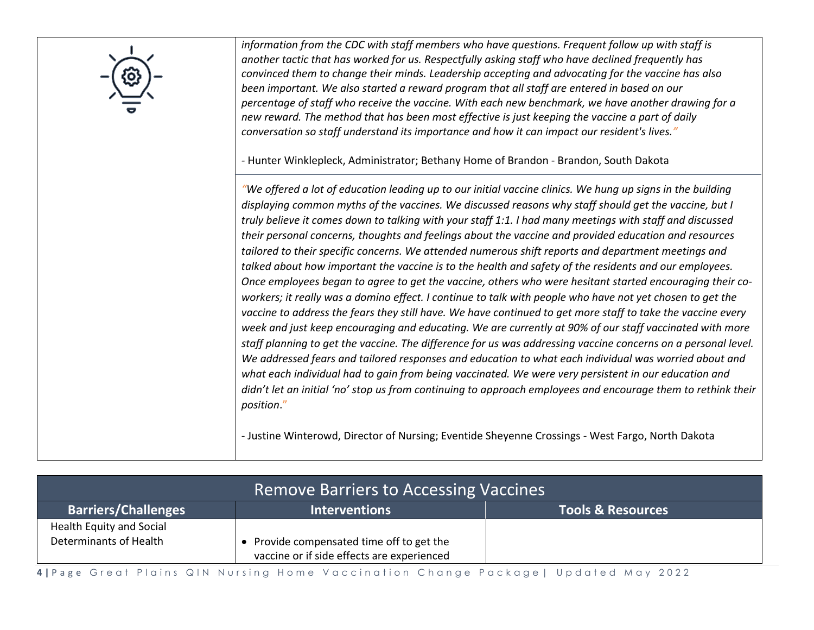

*information from the CDC with staff members who have questions. Frequent follow up with staff is another tactic that has worked for us. Respectfully asking staff who have declined frequently has convinced them to change their minds. Leadership accepting and advocating for the vaccine has also been important. We also started a reward program that all staff are entered in based on our percentage of staff who receive the vaccine. With each new benchmark, we have another drawing for a new reward. The method that has been most effective is just keeping the vaccine a part of daily conversation so staff understand its importance and how it can impact our resident's lives."* 

*-* Hunter Winklepleck, Administrator; Bethany Home of Brandon - Brandon, South Dakota

*"We offered a lot of education leading up to our initial vaccine clinics. We hung up signs in the building displaying common myths of the vaccines. We discussed reasons why staff should get the vaccine, but I truly believe it comes down to talking with your staff 1:1. I had many meetings with staff and discussed their personal concerns, thoughts and feelings about the vaccine and provided education and resources tailored to their specific concerns. We attended numerous shift reports and department meetings and talked about how important the vaccine is to the health and safety of the residents and our employees. Once employees began to agree to get the vaccine, others who were hesitant started encouraging their coworkers; it really was a domino effect. I continue to talk with people who have not yet chosen to get the vaccine to address the fears they still have. We have continued to get more staff to take the vaccine every week and just keep encouraging and educating. We are currently at 90% of our staff vaccinated with more staff planning to get the vaccine. The difference for us was addressing vaccine concerns on a personal level. We addressed fears and tailored responses and education to what each individual was worried about and what each individual had to gain from being vaccinated. We were very persistent in our education and didn't let an initial 'no' stop us from continuing to approach employees and encourage them to rethink their position*."

- Justine Winterowd, Director of Nursing; Eventide Sheyenne Crossings - West Fargo, North Dakota

<span id="page-3-0"></span>

| Remove Barriers to Accessing Vaccines                     |                                                                                       |                              |  |
|-----------------------------------------------------------|---------------------------------------------------------------------------------------|------------------------------|--|
| <b>Barriers/Challenges</b>                                | <b>Interventions</b>                                                                  | <b>Tools &amp; Resources</b> |  |
| <b>Health Equity and Social</b><br>Determinants of Health |                                                                                       |                              |  |
|                                                           | Provide compensated time off to get the<br>vaccine or if side effects are experienced |                              |  |

4 | Page Great Plains QIN Nursing Home Vaccination Change Package | Updated May 2022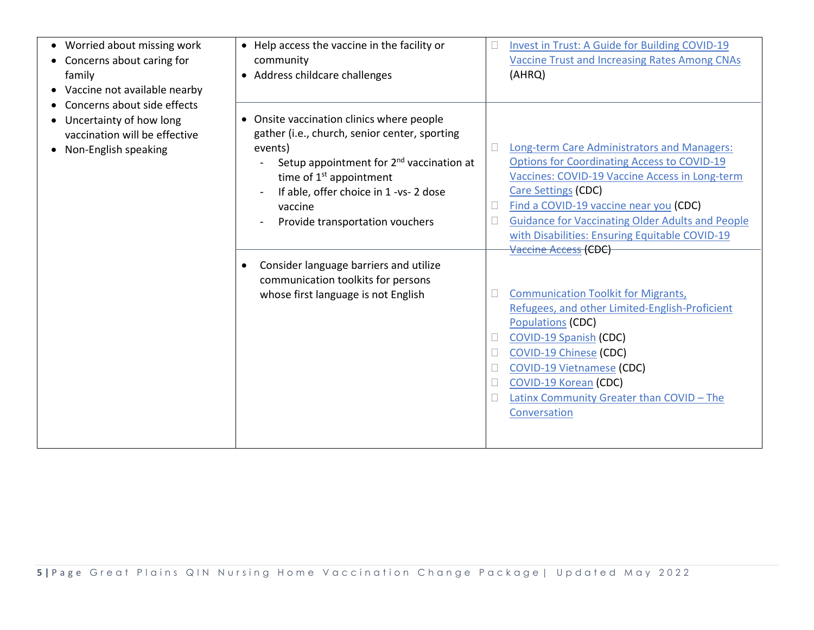| • Worried about missing work<br>Concerns about caring for<br>family<br>Vaccine not available nearby             | • Help access the vaccine in the facility or<br>community<br>• Address childcare challenges                                                                                                                                                                                                                                                                                                             |                        | <b>Invest in Trust: A Guide for Building COVID-19</b><br><b>Vaccine Trust and Increasing Rates Among CNAs</b><br>(AHRQ)                                                                                                                                                                                                                                                                                                                                                                                                       |
|-----------------------------------------------------------------------------------------------------------------|---------------------------------------------------------------------------------------------------------------------------------------------------------------------------------------------------------------------------------------------------------------------------------------------------------------------------------------------------------------------------------------------------------|------------------------|-------------------------------------------------------------------------------------------------------------------------------------------------------------------------------------------------------------------------------------------------------------------------------------------------------------------------------------------------------------------------------------------------------------------------------------------------------------------------------------------------------------------------------|
| Concerns about side effects<br>Uncertainty of how long<br>vaccination will be effective<br>Non-English speaking | Onsite vaccination clinics where people<br>gather (i.e., church, senior center, sporting<br>events)<br>Setup appointment for 2 <sup>nd</sup> vaccination at<br>time of $1st$ appointment<br>If able, offer choice in 1 -vs- 2 dose<br>vaccine<br>Provide transportation vouchers<br>Consider language barriers and utilize<br>communication toolkits for persons<br>whose first language is not English | $\vert \ \ \vert$<br>П | Long-term Care Administrators and Managers:<br><b>Options for Coordinating Access to COVID-19</b><br>Vaccines: COVID-19 Vaccine Access in Long-term<br><b>Care Settings (CDC)</b><br>Find a COVID-19 vaccine near you (CDC)<br><b>Guidance for Vaccinating Older Adults and People</b><br>with Disabilities: Ensuring Equitable COVID-19<br>Vaccine Access (CDC)<br><b>Communication Toolkit for Migrants,</b><br>Refugees, and other Limited-English-Proficient<br><b>Populations (CDC)</b><br><b>COVID-19 Spanish (CDC)</b> |
|                                                                                                                 |                                                                                                                                                                                                                                                                                                                                                                                                         | П<br>Ш                 | <b>COVID-19 Chinese (CDC)</b><br><b>COVID-19 Vietnamese (CDC)</b><br>COVID-19 Korean (CDC)<br>Latinx Community Greater than COVID - The<br>Conversation                                                                                                                                                                                                                                                                                                                                                                       |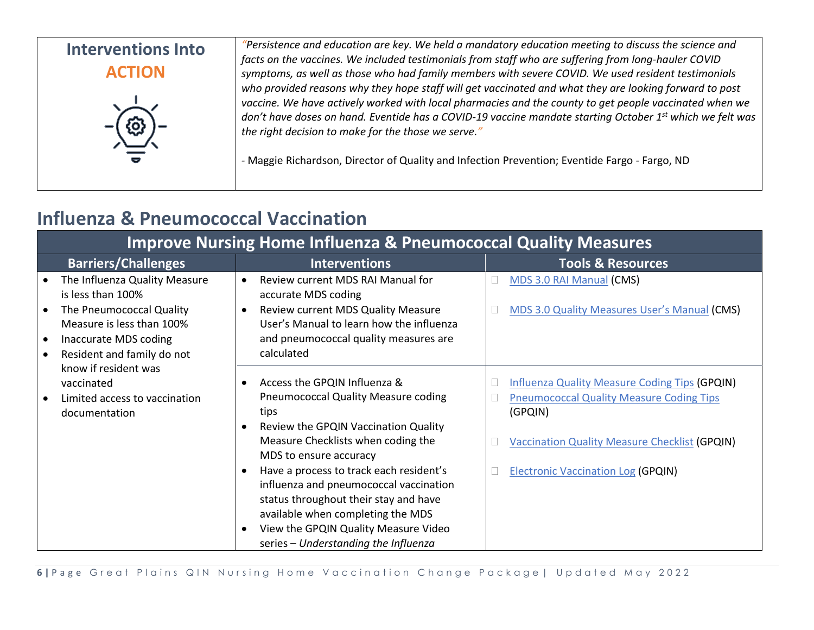| <b>Interventions Into</b> | "Persistence and education are key. We held a mandatory education meeting to discuss the science and<br>facts on the vaccines. We included testimonials from staff who are suffering from long-hauler COVID                                                                                                                                                                                                                                                                                      |
|---------------------------|--------------------------------------------------------------------------------------------------------------------------------------------------------------------------------------------------------------------------------------------------------------------------------------------------------------------------------------------------------------------------------------------------------------------------------------------------------------------------------------------------|
| <b>ACTION</b>             | symptoms, as well as those who had family members with severe COVID. We used resident testimonials                                                                                                                                                                                                                                                                                                                                                                                               |
| $-\sqrt{32}$              | who provided reasons why they hope staff will get vaccinated and what they are looking forward to post<br>vaccine. We have actively worked with local pharmacies and the county to get people vaccinated when we<br>don't have doses on hand. Eventide has a COVID-19 vaccine mandate starting October 1 <sup>st</sup> which we felt was<br>the right decision to make for the those we serve."<br>- Maggie Richardson, Director of Quality and Infection Prevention; Eventide Fargo - Fargo, ND |

#### <span id="page-5-0"></span>**Influenza & Pneumococcal Vaccination**

| <b>Improve Nursing Home Influenza &amp; Pneumococcal Quality Measures</b>                                                                                                                                                                                  |                                                                                                                                                                                                                                                                                                                                                                                                                                                            |                                                                                                                                                                                                                         |
|------------------------------------------------------------------------------------------------------------------------------------------------------------------------------------------------------------------------------------------------------------|------------------------------------------------------------------------------------------------------------------------------------------------------------------------------------------------------------------------------------------------------------------------------------------------------------------------------------------------------------------------------------------------------------------------------------------------------------|-------------------------------------------------------------------------------------------------------------------------------------------------------------------------------------------------------------------------|
| <b>Barriers/Challenges</b>                                                                                                                                                                                                                                 | <b>Interventions</b>                                                                                                                                                                                                                                                                                                                                                                                                                                       | <b>Tools &amp; Resources</b>                                                                                                                                                                                            |
| The Influenza Quality Measure<br>is less than 100%<br>The Pneumococcal Quality<br>Measure is less than 100%<br>Inaccurate MDS coding<br>Resident and family do not<br>know if resident was<br>vaccinated<br>Limited access to vaccination<br>documentation | Review current MDS RAI Manual for<br>accurate MDS coding<br>Review current MDS Quality Measure<br>User's Manual to learn how the influenza<br>and pneumococcal quality measures are<br>calculated                                                                                                                                                                                                                                                          | MDS 3.0 RAI Manual (CMS)<br><b>MDS 3.0 Quality Measures User's Manual (CMS)</b>                                                                                                                                         |
|                                                                                                                                                                                                                                                            | Access the GPQIN Influenza &<br>$\bullet$<br><b>Pneumococcal Quality Measure coding</b><br>tips<br>Review the GPQIN Vaccination Quality<br>Measure Checklists when coding the<br>MDS to ensure accuracy<br>Have a process to track each resident's<br>influenza and pneumococcal vaccination<br>status throughout their stay and have<br>available when completing the MDS<br>View the GPQIN Quality Measure Video<br>series - Understanding the Influenza | <b>Influenza Quality Measure Coding Tips (GPQIN)</b><br><b>Pneumococcal Quality Measure Coding Tips</b><br>(GPQIN)<br><b>Vaccination Quality Measure Checklist (GPQIN)</b><br><b>Electronic Vaccination Log (GPQIN)</b> |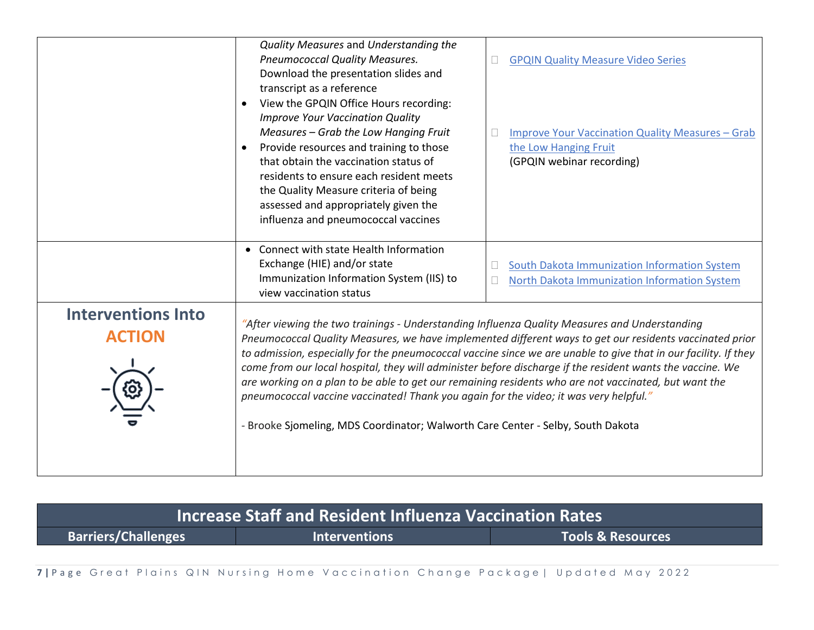|                                            | Quality Measures and Understanding the<br>Pneumococcal Quality Measures.<br>Download the presentation slides and<br>transcript as a reference<br>View the GPQIN Office Hours recording:<br>$\bullet$<br><b>Improve Your Vaccination Quality</b><br>Measures - Grab the Low Hanging Fruit<br>Provide resources and training to those<br>that obtain the vaccination status of<br>residents to ensure each resident meets<br>the Quality Measure criteria of being<br>assessed and appropriately given the<br>influenza and pneumococcal vaccines | <b>GPQIN Quality Measure Video Series</b><br><b>Improve Your Vaccination Quality Measures - Grab</b><br>the Low Hanging Fruit<br>(GPQIN webinar recording)                                                                                                                                                                              |
|--------------------------------------------|-------------------------------------------------------------------------------------------------------------------------------------------------------------------------------------------------------------------------------------------------------------------------------------------------------------------------------------------------------------------------------------------------------------------------------------------------------------------------------------------------------------------------------------------------|-----------------------------------------------------------------------------------------------------------------------------------------------------------------------------------------------------------------------------------------------------------------------------------------------------------------------------------------|
|                                            | • Connect with state Health Information<br>Exchange (HIE) and/or state<br>Immunization Information System (IIS) to<br>view vaccination status                                                                                                                                                                                                                                                                                                                                                                                                   | <b>South Dakota Immunization Information System</b><br>North Dakota Immunization Information System                                                                                                                                                                                                                                     |
| <b>Interventions Into</b><br><b>ACTION</b> | "After viewing the two trainings - Understanding Influenza Quality Measures and Understanding<br>are working on a plan to be able to get our remaining residents who are not vaccinated, but want the<br>pneumococcal vaccine vaccinated! Thank you again for the video; it was very helpful."<br>- Brooke Sjomeling, MDS Coordinator; Walworth Care Center - Selby, South Dakota                                                                                                                                                               | Pneumococcal Quality Measures, we have implemented different ways to get our residents vaccinated prior<br>to admission, especially for the pneumococcal vaccine since we are unable to give that in our facility. If they<br>come from our local hospital, they will administer before discharge if the resident wants the vaccine. We |

| <b>Increase Staff and Resident Influenza Vaccination Rates</b>                     |  |  |  |
|------------------------------------------------------------------------------------|--|--|--|
| <b>Barriers/Challenges</b><br><b>Tools &amp; Resources</b><br><b>Interventions</b> |  |  |  |
|                                                                                    |  |  |  |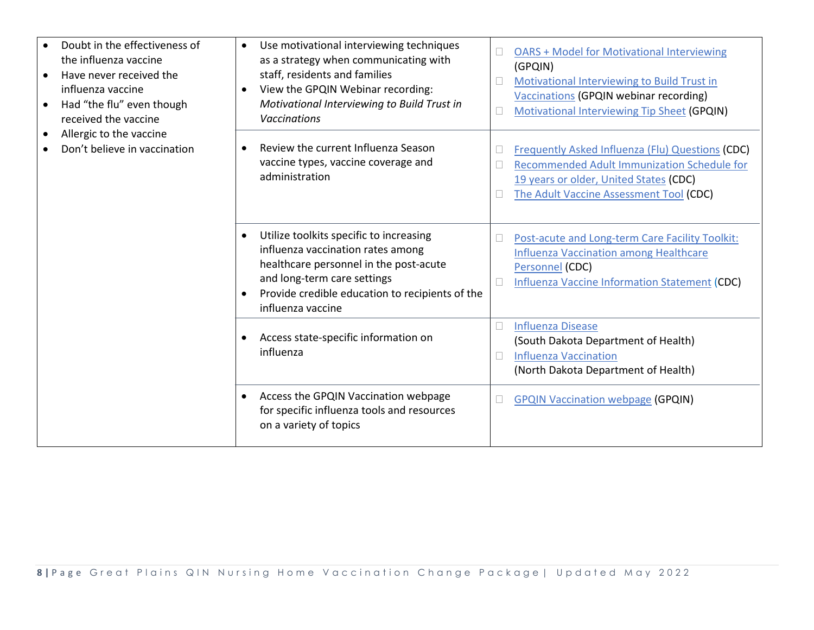| Doubt in the effectiveness of<br>the influenza vaccine<br>Have never received the<br>influenza vaccine<br>Had "the flu" even though<br>$\bullet$<br>received the vaccine<br>Allergic to the vaccine<br>Don't believe in vaccination | Use motivational interviewing techniques<br>as a strategy when communicating with<br>staff, residents and families<br>View the GPQIN Webinar recording:<br>$\bullet$<br>Motivational Interviewing to Build Trust in<br><b>Vaccinations</b> | <b>OARS + Model for Motivational Interviewing</b><br>(GPQIN)<br>Motivational Interviewing to Build Trust in<br>Vaccinations (GPQIN webinar recording)<br>Motivational Interviewing Tip Sheet (GPQIN) |
|-------------------------------------------------------------------------------------------------------------------------------------------------------------------------------------------------------------------------------------|--------------------------------------------------------------------------------------------------------------------------------------------------------------------------------------------------------------------------------------------|------------------------------------------------------------------------------------------------------------------------------------------------------------------------------------------------------|
|                                                                                                                                                                                                                                     | Review the current Influenza Season<br>vaccine types, vaccine coverage and<br>administration                                                                                                                                               | <b>Frequently Asked Influenza (Flu) Questions (CDC)</b><br>Recommended Adult Immunization Schedule for<br>19 years or older, United States (CDC)<br>The Adult Vaccine Assessment Tool (CDC)          |
|                                                                                                                                                                                                                                     | Utilize toolkits specific to increasing<br>$\bullet$<br>influenza vaccination rates among<br>healthcare personnel in the post-acute<br>and long-term care settings<br>Provide credible education to recipients of the<br>influenza vaccine | Post-acute and Long-term Care Facility Toolkit:<br><b>Influenza Vaccination among Healthcare</b><br>Personnel (CDC)<br><b>Influenza Vaccine Information Statement (CDC)</b>                          |
|                                                                                                                                                                                                                                     | Access state-specific information on<br>influenza                                                                                                                                                                                          | <b>Influenza Disease</b><br>(South Dakota Department of Health)<br><b>Influenza Vaccination</b><br>(North Dakota Department of Health)                                                               |
|                                                                                                                                                                                                                                     | Access the GPQIN Vaccination webpage<br>$\bullet$<br>for specific influenza tools and resources<br>on a variety of topics                                                                                                                  | <b>GPQIN Vaccination webpage (GPQIN)</b>                                                                                                                                                             |